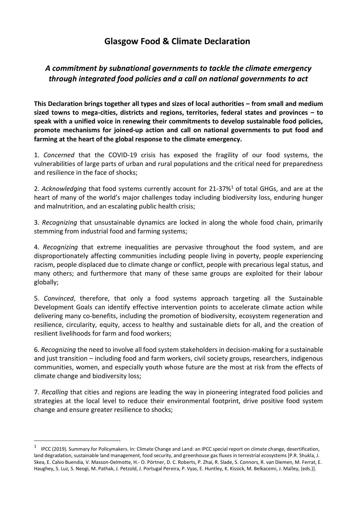## **Glasgow Food & Climate Declaration**

## *A commitment by subnational governments to tackle the climate emergency through integrated food policies and a call on national governments to act*

**This Declaration brings together all types and sizes of local authorities – from small and medium sized towns to mega-cities, districts and regions, territories, federal states and provinces – to speak with a unified voice in renewing their commitments to develop sustainable food policies, promote mechanisms for joined-up action and call on national governments to put food and farming at the heart of the global response to the climate emergency.**

1. *Concerned* that the COVID-19 crisis has exposed the fragility of our food systems, the vulnerabilities of large parts of urban and rural populations and the critical need for preparedness and resilience in the face of shocks;

2. *Acknowledging* that food systems currently account for 21-37%<sup>1</sup> of total GHGs, and are at the heart of many of the world's major challenges today including biodiversity loss, enduring hunger and malnutrition, and an escalating public health crisis;

3. *Recognizing* that unsustainable dynamics are locked in along the whole food chain, primarily stemming from industrial food and farming systems;

4. *Recognizing* that extreme inequalities are pervasive throughout the food system, and are disproportionately affecting communities including people living in poverty, people experiencing racism, people displaced due to climate change or conflict, people with precarious legal status, and many others; and furthermore that many of these same groups are exploited for their labour globally;

5. *Convinced*, therefore, that only a food systems approach targeting all the Sustainable Development Goals can identify effective intervention points to accelerate climate action while delivering many co-benefits, including the promotion of biodiversity, ecosystem regeneration and resilience, circularity, equity, access to healthy and sustainable diets for all, and the creation of resilient livelihoods for farm and food workers;

6. *Recognizing* the need to involve all food system stakeholders in decision-making for a sustainable and just transition – including food and farm workers, civil society groups, researchers, indigenous communities, women, and especially youth whose future are the most at risk from the effects of climate change and biodiversity loss;

7. *Recalling* that cities and regions are leading the way in pioneering integrated food policies and strategies at the local level to reduce their environmental footprint, drive positive food system change and ensure greater resilience to shocks;

<sup>&</sup>lt;sup>1</sup> IPCC (2019). Summary for Policymakers. In: Climate Change and Land: an IPCC special report on climate change, desertification, land degradation, sustainable land management, food security, and greenhouse gas fluxes in terrestrial ecosystems [P.R. Shukla, J. Skea, E. Calvo Buendia, V. Masson-Delmotte, H.- O. Pörtner, D. C. Roberts, P. Zhai, R. Slade, S. Connors, R. van Diemen, M. Ferrat, E. Haughey, S. Luz, S. Neogi, M. Pathak, J. Petzold, J. Portugal Pereira, P. Vyas, E. Huntley, K. Kissick, M. Belkacemi, J. Malley, (eds.)].